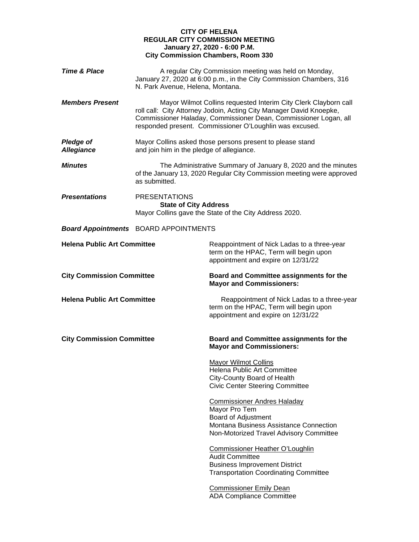## **CITY OF HELENA REGULAR CITY COMMISSION MEETING January 27, 2020 - 6:00 P.M. City Commission Chambers, Room 330**

| <b>Time &amp; Place</b>               | N. Park Avenue, Helena, Montana.                     | A regular City Commission meeting was held on Monday,<br>January 27, 2020 at 6:00 p.m., in the City Commission Chambers, 316                                                                                                                                          |
|---------------------------------------|------------------------------------------------------|-----------------------------------------------------------------------------------------------------------------------------------------------------------------------------------------------------------------------------------------------------------------------|
| <b>Members Present</b>                |                                                      | Mayor Wilmot Collins requested Interim City Clerk Clayborn call<br>roll call: City Attorney Jodoin, Acting City Manager David Knoepke,<br>Commissioner Haladay, Commissioner Dean, Commissioner Logan, all<br>responded present. Commissioner O'Loughlin was excused. |
| <b>Pledge of</b><br><b>Allegiance</b> | and join him in the pledge of allegiance.            | Mayor Collins asked those persons present to please stand                                                                                                                                                                                                             |
| <b>Minutes</b>                        | as submitted.                                        | The Administrative Summary of January 8, 2020 and the minutes<br>of the January 13, 2020 Regular City Commission meeting were approved                                                                                                                                |
| <b>Presentations</b>                  | <b>PRESENTATIONS</b><br><b>State of City Address</b> | Mayor Collins gave the State of the City Address 2020.                                                                                                                                                                                                                |
|                                       | <b>Board Appointments</b> BOARD APPOINTMENTS         |                                                                                                                                                                                                                                                                       |
| <b>Helena Public Art Committee</b>    |                                                      | Reappointment of Nick Ladas to a three-year<br>term on the HPAC, Term will begin upon<br>appointment and expire on 12/31/22                                                                                                                                           |
| <b>City Commission Committee</b>      |                                                      | Board and Committee assignments for the<br><b>Mayor and Commissioners:</b>                                                                                                                                                                                            |
| <b>Helena Public Art Committee</b>    |                                                      | Reappointment of Nick Ladas to a three-year<br>term on the HPAC, Term will begin upon<br>appointment and expire on 12/31/22                                                                                                                                           |
| <b>City Commission Committee</b>      |                                                      | Board and Committee assignments for the<br><b>Mayor and Commissioners:</b>                                                                                                                                                                                            |
|                                       |                                                      | <b>Mayor Wilmot Collins</b><br>Helena Public Art Committee<br>City-County Board of Health<br><b>Civic Center Steering Committee</b>                                                                                                                                   |
|                                       |                                                      | <b>Commissioner Andres Haladay</b><br>Mayor Pro Tem<br>Board of Adjustment<br>Montana Business Assistance Connection<br>Non-Motorized Travel Advisory Committee                                                                                                       |
|                                       |                                                      | <b>Commissioner Heather O'Loughlin</b><br><b>Audit Committee</b><br><b>Business Improvement District</b><br><b>Transportation Coordinating Committee</b>                                                                                                              |
|                                       |                                                      | <b>Commissioner Emily Dean</b><br><b>ADA Compliance Committee</b>                                                                                                                                                                                                     |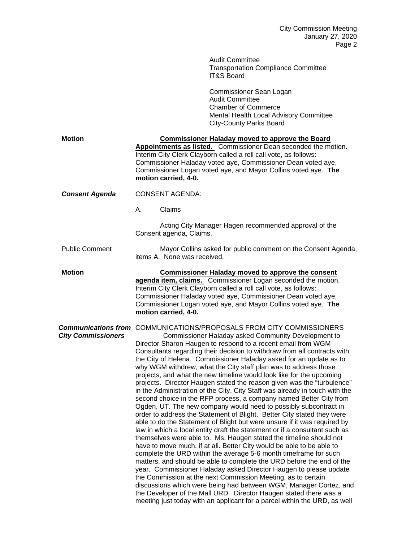|                           | <b>Audit Committee</b><br><b>Transportation Compliance Committee</b><br><b>IT&amp;S Board</b>                                                                                                                                                                                                                                                                                                                                                                                                                                                                                                                                                                                                                                                                                                                                                                                                                                                                                                                                                                                                                                                                                                                                                                                                                                                                                                                                                                                                                                                                                                                                                                                                  |
|---------------------------|------------------------------------------------------------------------------------------------------------------------------------------------------------------------------------------------------------------------------------------------------------------------------------------------------------------------------------------------------------------------------------------------------------------------------------------------------------------------------------------------------------------------------------------------------------------------------------------------------------------------------------------------------------------------------------------------------------------------------------------------------------------------------------------------------------------------------------------------------------------------------------------------------------------------------------------------------------------------------------------------------------------------------------------------------------------------------------------------------------------------------------------------------------------------------------------------------------------------------------------------------------------------------------------------------------------------------------------------------------------------------------------------------------------------------------------------------------------------------------------------------------------------------------------------------------------------------------------------------------------------------------------------------------------------------------------------|
|                           | <b>Commissioner Sean Logan</b><br><b>Audit Committee</b><br><b>Chamber of Commerce</b><br>Mental Health Local Advisory Committee<br><b>City-County Parks Board</b>                                                                                                                                                                                                                                                                                                                                                                                                                                                                                                                                                                                                                                                                                                                                                                                                                                                                                                                                                                                                                                                                                                                                                                                                                                                                                                                                                                                                                                                                                                                             |
| <b>Motion</b>             | <b>Commissioner Haladay moved to approve the Board</b><br>Appointments as listed. Commissioner Dean seconded the motion.<br>Interim City Clerk Clayborn called a roll call vote, as follows:<br>Commissioner Haladay voted aye, Commissioner Dean voted aye,<br>Commissioner Logan voted aye, and Mayor Collins voted aye. The<br>motion carried, 4-0.                                                                                                                                                                                                                                                                                                                                                                                                                                                                                                                                                                                                                                                                                                                                                                                                                                                                                                                                                                                                                                                                                                                                                                                                                                                                                                                                         |
| <b>Consent Agenda</b>     | <b>CONSENT AGENDA:</b>                                                                                                                                                                                                                                                                                                                                                                                                                                                                                                                                                                                                                                                                                                                                                                                                                                                                                                                                                                                                                                                                                                                                                                                                                                                                                                                                                                                                                                                                                                                                                                                                                                                                         |
|                           | Α.<br>Claims                                                                                                                                                                                                                                                                                                                                                                                                                                                                                                                                                                                                                                                                                                                                                                                                                                                                                                                                                                                                                                                                                                                                                                                                                                                                                                                                                                                                                                                                                                                                                                                                                                                                                   |
|                           | Acting City Manager Hagen recommended approval of the<br>Consent agenda, Claims.                                                                                                                                                                                                                                                                                                                                                                                                                                                                                                                                                                                                                                                                                                                                                                                                                                                                                                                                                                                                                                                                                                                                                                                                                                                                                                                                                                                                                                                                                                                                                                                                               |
| <b>Public Comment</b>     | Mayor Collins asked for public comment on the Consent Agenda,<br>items A. None was received.                                                                                                                                                                                                                                                                                                                                                                                                                                                                                                                                                                                                                                                                                                                                                                                                                                                                                                                                                                                                                                                                                                                                                                                                                                                                                                                                                                                                                                                                                                                                                                                                   |
| <b>Motion</b>             | <b>Commissioner Haladay moved to approve the consent</b><br>agenda item, claims. Commissioner Logan seconded the motion.<br>Interim City Clerk Clayborn called a roll call vote, as follows:<br>Commissioner Haladay voted aye, Commissioner Dean voted aye,<br>Commissioner Logan voted aye, and Mayor Collins voted aye. The<br>motion carried, 4-0.                                                                                                                                                                                                                                                                                                                                                                                                                                                                                                                                                                                                                                                                                                                                                                                                                                                                                                                                                                                                                                                                                                                                                                                                                                                                                                                                         |
| <b>City Commissioners</b> | <b>Communications from</b> COMMUNICATIONS/PROPOSALS FROM CITY COMMISSIONERS<br>Commissioner Haladay asked Community Development to<br>Director Sharon Haugen to respond to a recent email from WGM<br>Consultants regarding their decision to withdraw from all contracts with<br>the City of Helena. Commissioner Haladay asked for an update as to<br>why WGM withdrew, what the City staff plan was to address those<br>projects, and what the new timeline would look like for the upcoming<br>projects. Director Haugen stated the reason given was the "turbulence"<br>in the Administration of the City. City Staff was already in touch with the<br>second choice in the RFP process, a company named Better City from<br>Ogden, UT. The new company would need to possibly subcontract in<br>order to address the Statement of Blight. Better City stated they were<br>able to do the Statement of Blight but were unsure if it was required by<br>law in which a local entity draft the statement or if a consultant such as<br>themselves were able to. Ms. Haugen stated the timeline should not<br>have to move much, if at all. Better City would be able to be able to<br>complete the URD within the average 5-6 month timeframe for such<br>matters, and should be able to complete the URD before the end of the<br>year. Commissioner Haladay asked Director Haugen to please update<br>the Commission at the next Commission Meeting, as to certain<br>discussions which were being had between WGM, Manager Cortez, and<br>the Developer of the Mall URD. Director Haugen stated there was a<br>meeting just today with an applicant for a parcel within the URD, as well |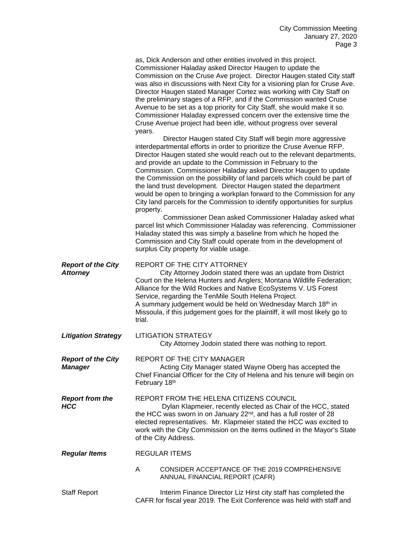|                                              | as, Dick Anderson and other entities involved in this project.<br>Commissioner Haladay asked Director Haugen to update the<br>Commission on the Cruse Ave project. Director Haugen stated City staff<br>was also in discussions with Next City for a visioning plan for Cruse Ave.<br>Director Haugen stated Manager Cortez was working with City Staff on<br>the preliminary stages of a RFP, and if the Commission wanted Cruse<br>Avenue to be set as a top priority for City Staff, she would make it so.<br>Commissioner Haladay expressed concern over the extensive time the<br>Cruse Avenue project had been idle, without progress over several<br>years.<br>Director Haugen stated City Staff will begin more aggressive<br>interdepartmental efforts in order to prioritize the Cruse Avenue RFP. |
|----------------------------------------------|--------------------------------------------------------------------------------------------------------------------------------------------------------------------------------------------------------------------------------------------------------------------------------------------------------------------------------------------------------------------------------------------------------------------------------------------------------------------------------------------------------------------------------------------------------------------------------------------------------------------------------------------------------------------------------------------------------------------------------------------------------------------------------------------------------------|
|                                              | Director Haugen stated she would reach out to the relevant departments,<br>and provide an update to the Commission in February to the<br>Commission. Commissioner Haladay asked Director Haugen to update<br>the Commission on the possibility of land parcels which could be part of<br>the land trust development. Director Haugen stated the department<br>would be open to bringing a workplan forward to the Commission for any<br>City land parcels for the Commission to identify opportunities for surplus<br>property.                                                                                                                                                                                                                                                                              |
|                                              | Commissioner Dean asked Commissioner Haladay asked what<br>parcel list which Commissioner Haladay was referencing. Commissioner<br>Haladay stated this was simply a baseline from which he hoped the<br>Commission and City Staff could operate from in the development of<br>surplus City property for viable usage.                                                                                                                                                                                                                                                                                                                                                                                                                                                                                        |
| <b>Report of the City</b><br><b>Attorney</b> | REPORT OF THE CITY ATTORNEY<br>City Attorney Jodoin stated there was an update from District<br>Court on the Helena Hunters and Anglers; Montana Wildlife Federation;<br>Alliance for the Wild Rockies and Native EcoSystems V. US Forest<br>Service, regarding the TenMile South Helena Project.<br>A summary judgement would be held on Wednesday March 18th in<br>Missoula, if this judgement goes for the plaintiff, it will most likely go to<br>trial.                                                                                                                                                                                                                                                                                                                                                 |
| <b>Litigation Strategy</b>                   | <b>LITIGATION STRATEGY</b><br>City Attorney Jodoin stated there was nothing to report.                                                                                                                                                                                                                                                                                                                                                                                                                                                                                                                                                                                                                                                                                                                       |
| <b>Report of the City</b><br><b>Manager</b>  | REPORT OF THE CITY MANAGER<br>Acting City Manager stated Wayne Oberg has accepted the<br>Chief Financial Officer for the City of Helena and his tenure will begin on<br>February 18th                                                                                                                                                                                                                                                                                                                                                                                                                                                                                                                                                                                                                        |
| <b>Report from the</b><br><b>HCC</b>         | REPORT FROM THE HELENA CITIZENS COUNCIL<br>Dylan Klapmeier, recently elected as Chair of the HCC, stated<br>the HCC was sworn in on January 22 <sup>nd</sup> , and has a full roster of 28<br>elected representatives. Mr. Klapmeier stated the HCC was excited to<br>work with the City Commission on the items outlined in the Mayor's State<br>of the City Address.                                                                                                                                                                                                                                                                                                                                                                                                                                       |
| <b>Regular Items</b>                         | <b>REGULAR ITEMS</b>                                                                                                                                                                                                                                                                                                                                                                                                                                                                                                                                                                                                                                                                                                                                                                                         |
|                                              | A<br>CONSIDER ACCEPTANCE OF THE 2019 COMPREHENSIVE<br>ANNUAL FINANCIAL REPORT (CAFR)                                                                                                                                                                                                                                                                                                                                                                                                                                                                                                                                                                                                                                                                                                                         |
| <b>Staff Report</b>                          | Interim Finance Director Liz Hirst city staff has completed the<br>CAFR for fiscal year 2019. The Exit Conference was held with staff and                                                                                                                                                                                                                                                                                                                                                                                                                                                                                                                                                                                                                                                                    |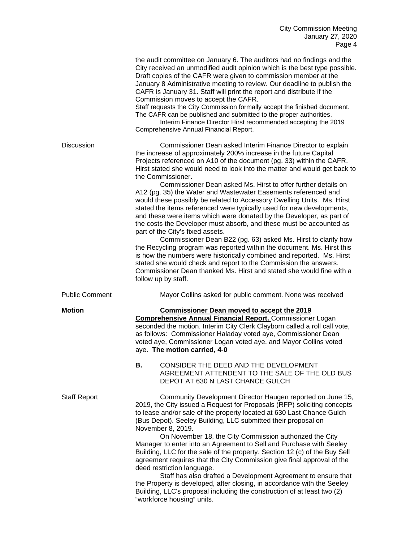|                       | the audit committee on January 6. The auditors had no findings and the<br>City received an unmodified audit opinion which is the best type possible.<br>Draft copies of the CAFR were given to commission member at the<br>January 8 Administrative meeting to review. Our deadline to publish the<br>CAFR is January 31. Staff will print the report and distribute if the<br>Commission moves to accept the CAFR.<br>Staff requests the City Commission formally accept the finished document.<br>The CAFR can be published and submitted to the proper authorities.<br>Interim Finance Director Hirst recommended accepting the 2019<br>Comprehensive Annual Financial Report.                                                                                                                                                                                                                                                                                                                                                                                                                                                                                          |
|-----------------------|----------------------------------------------------------------------------------------------------------------------------------------------------------------------------------------------------------------------------------------------------------------------------------------------------------------------------------------------------------------------------------------------------------------------------------------------------------------------------------------------------------------------------------------------------------------------------------------------------------------------------------------------------------------------------------------------------------------------------------------------------------------------------------------------------------------------------------------------------------------------------------------------------------------------------------------------------------------------------------------------------------------------------------------------------------------------------------------------------------------------------------------------------------------------------|
| Discussion            | Commissioner Dean asked Interim Finance Director to explain<br>the increase of approximately 200% increase in the future Capital<br>Projects referenced on A10 of the document (pg. 33) within the CAFR.<br>Hirst stated she would need to look into the matter and would get back to<br>the Commissioner.<br>Commissioner Dean asked Ms. Hirst to offer further details on<br>A12 (pg. 35) the Water and Wastewater Easements referenced and<br>would these possibly be related to Accessory Dwelling Units. Ms. Hirst<br>stated the items referenced were typically used for new developments,<br>and these were items which were donated by the Developer, as part of<br>the costs the Developer must absorb, and these must be accounted as<br>part of the City's fixed assets.<br>Commissioner Dean B22 (pg. 63) asked Ms. Hirst to clarify how<br>the Recycling program was reported within the document. Ms. Hirst this<br>is how the numbers were historically combined and reported. Ms. Hirst<br>stated she would check and report to the Commission the answers.<br>Commissioner Dean thanked Ms. Hirst and stated she would fine with a<br>follow up by staff. |
| <b>Public Comment</b> | Mayor Collins asked for public comment. None was received                                                                                                                                                                                                                                                                                                                                                                                                                                                                                                                                                                                                                                                                                                                                                                                                                                                                                                                                                                                                                                                                                                                  |
| <b>Motion</b>         | <b>Commissioner Dean moved to accept the 2019</b><br><b>Comprehensive Annual Financial Report.</b> Commissioner Logan<br>seconded the motion. Interim City Clerk Clayborn called a roll call vote,<br>as follows: Commissioner Haladay voted aye, Commissioner Dean<br>voted aye, Commissioner Logan voted aye, and Mayor Collins voted<br>aye. The motion carried, 4-0                                                                                                                                                                                                                                                                                                                                                                                                                                                                                                                                                                                                                                                                                                                                                                                                    |
|                       | CONSIDER THE DEED AND THE DEVELOPMENT<br>В.<br>AGREEMENT ATTENDENT TO THE SALE OF THE OLD BUS<br>DEPOT AT 630 N LAST CHANCE GULCH                                                                                                                                                                                                                                                                                                                                                                                                                                                                                                                                                                                                                                                                                                                                                                                                                                                                                                                                                                                                                                          |
| <b>Staff Report</b>   | Community Development Director Haugen reported on June 15,<br>2019, the City issued a Request for Proposals (RFP) soliciting concepts<br>to lease and/or sale of the property located at 630 Last Chance Gulch<br>(Bus Depot). Seeley Building, LLC submitted their proposal on<br>November 8, 2019.<br>On November 18, the City Commission authorized the City<br>Manager to enter into an Agreement to Sell and Purchase with Seeley<br>Building, LLC for the sale of the property. Section 12 (c) of the Buy Sell                                                                                                                                                                                                                                                                                                                                                                                                                                                                                                                                                                                                                                                       |
|                       | agreement requires that the City Commission give final approval of the<br>deed restriction language.<br>Staff has also drafted a Development Agreement to ensure that<br>the Property is developed, after closing, in accordance with the Seeley<br>Building, LLC's proposal including the construction of at least two (2)<br>"workforce housing" units.                                                                                                                                                                                                                                                                                                                                                                                                                                                                                                                                                                                                                                                                                                                                                                                                                  |